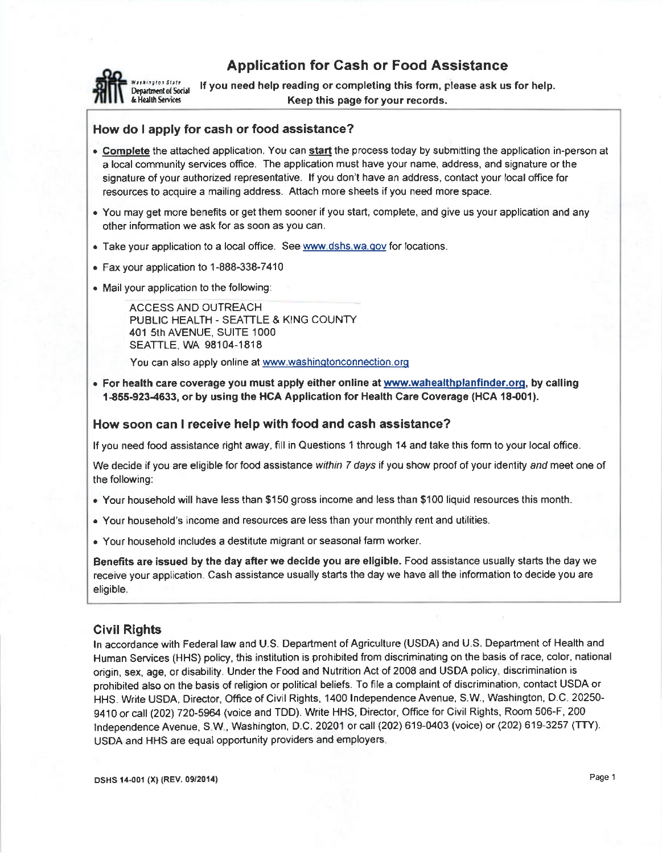# Application for Cash or Food Assistance



**illy craige to State** the Vou need help reading or completing this form, please ask us for help.<br>Department of Social this page for this page for your records Keep this page for your records.

# How do I apply for cash or food assistance?

- Complete the attached application. You can start the process today by submitting the application in-person at a local community services office. The application must have your name, address, and signature or the signature of your authorized representative. If you don't have an address, contact your local office for resources to acquire a mailing address. Attach more sheets if you need more space.
- . You may get more benefits or get them sooner if you start, complete, and give us your application and any other information we ask for as soon as you can.
- . Take your application to a local office. See www.dshs.wa.gov for locations.
- . Fax your application to 1-888-338-74'10
- . Mail your application to the following:

ACCESS ANO OUTREACH PUBLIC HEALTH - SEATTLE & KING COUNTY 401 5th AVENUE, SUITE 1000 SEATTLE. WA 98104-1818

You can also apply online at www.washingtonconnection.org

. For health care coverage you must apply either online at www.wahealthplanfinder.org, by calling 1-855-923-4633, or by using the HCA Application for Health Care Coverage (HCA 18-001).

### How soon can I receive help with food and cash assistance?

lf you need food assistance right away, flll in Questions 1 through 14 and take this form to your local office.

We decide if you are eligible for food assistance within 7 days if you show proof of your identity and meet one of the following:

- . Your household will have less than S'150 gross income and less than \$100 liquid resources this month.
- . Your household's income and resources are less than your monthly rent and utililies.
- . Your household includes a destitute migrant or seasonal farm worker.

Benefits are issued by the day afterwe decide you are eligible. Food assistance usually starts the day we receive your application. Cash assistance usually starts the day we have all the information to decide you are eligible.

## Civil Rights

ln accordance with Federal law and U.S. Department of Agriculture (USDA) and U.S. Department of Health and Human Services (HHS) policy, this instiiution is prohibited from discriminating on the basis of race, color, national origin, sex, age, or disability. Under the Food and Nutrition Act of 2008 and USDA policy, discrimination is prohibited also on the basis of religion or political beliefs. To flle a complaint of discrimination, contact USDA or HHS. Write USDA, Director, Office of Civil Rights, 1400 lndependence Avenue, S.W., Washington, O.C 20250- 9410 or call (202) 720-5964 (voice and TDD). Write HHS, Director, Office for Civil Rights, Room 506-F, 200 lndependence Avenue, S W, Washington, D.C.20201or call (202) 619-0403 (voice) or (202) 619-3257 (TTY). USDA and HHS are equal opportunity providers and employers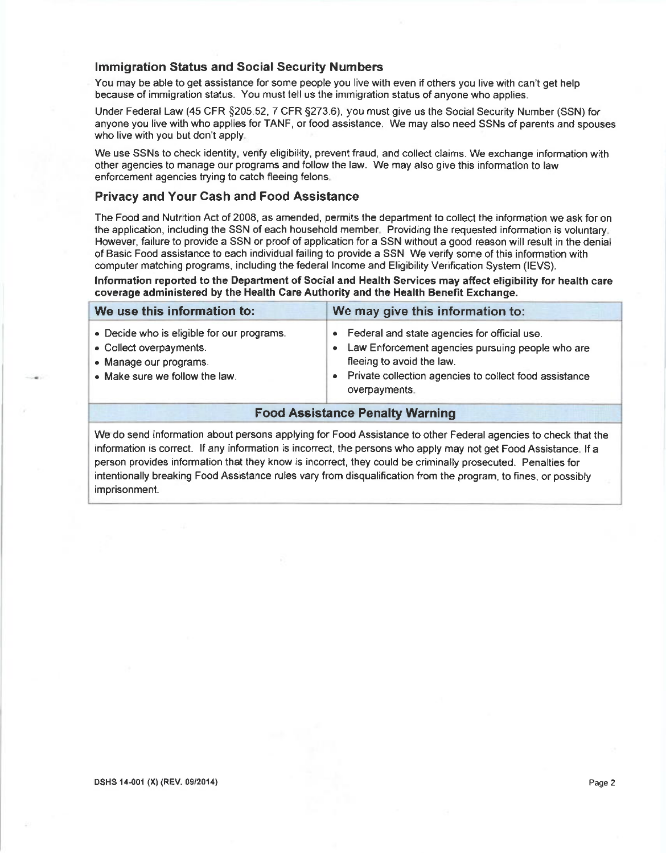#### lmmigration Status and Social Security Numbers

You may be able to get assistance for some people you live with even if others you live with can't get help because of immigration status. You must tell us the immigration slatus of anyone who applies.

Under Federal Law (45 CFR \$205.52, 7 CFR 5273.6), you must give us the Social Security Number (SSN) for anyone you live with who applies for TANF, or food assistance. We may also need SSNs of parents and spouses who live with you but don't apply

We use SSNs to check identity, venfy eligibility, prevent fraud, and collect claims. We exchange information with other agencies to manage our programs and follow the law. We may also give this information to law enforcement agencies trying to catch fleeing felons.

### Privacy and Your Cash and Food Assistance

The Food and Nutrition Act of 2008, as amended, permits the department to collect the information we ask for on the application, including the SSN of each household member. Providing the requested information is voluntary. However, failure to provide a SSN or proof of application for a SSN without a good reason will result in the denial of Basic Food assistance to each individual failing io provide a SSN We verify some of this information with computer matching programs, including the federal lncome and Eligibility Verification System (IEVS).

lnformation reported to the Department of Social and Health Services may affect eligibility for health care coverage administered by the Health Care Authority and the Health Benefit Exchange.

| We use this information to:                                                                                                       | We may give this information to:                                                                                                                                                                                                   |  |  |  |  |
|-----------------------------------------------------------------------------------------------------------------------------------|------------------------------------------------------------------------------------------------------------------------------------------------------------------------------------------------------------------------------------|--|--|--|--|
| • Decide who is eligible for our programs.<br>• Collect overpayments.<br>• Manage our programs.<br>• Make sure we follow the law. | Federal and state agencies for official use.<br>$\bullet$<br>Law Enforcement agencies pursuing people who are<br>fleeing to avoid the law.<br>Private collection agencies to collect food assistance<br>$\bullet$<br>overpayments. |  |  |  |  |
|                                                                                                                                   | <b>Food Assistance Penalty Warning</b>                                                                                                                                                                                             |  |  |  |  |

We do send information about persons applying for Food Assislance to other Federal agencies to check that the information is correct. lf any information is incorrect, the persons who apply may not get Food Assistance lf a person provides information that they know is incorrect, they could be criminally prosecuted. Penalties for intentionally breaking Food Assistance rules vary from disqualification from the program, to fines, or possibly imprisonment.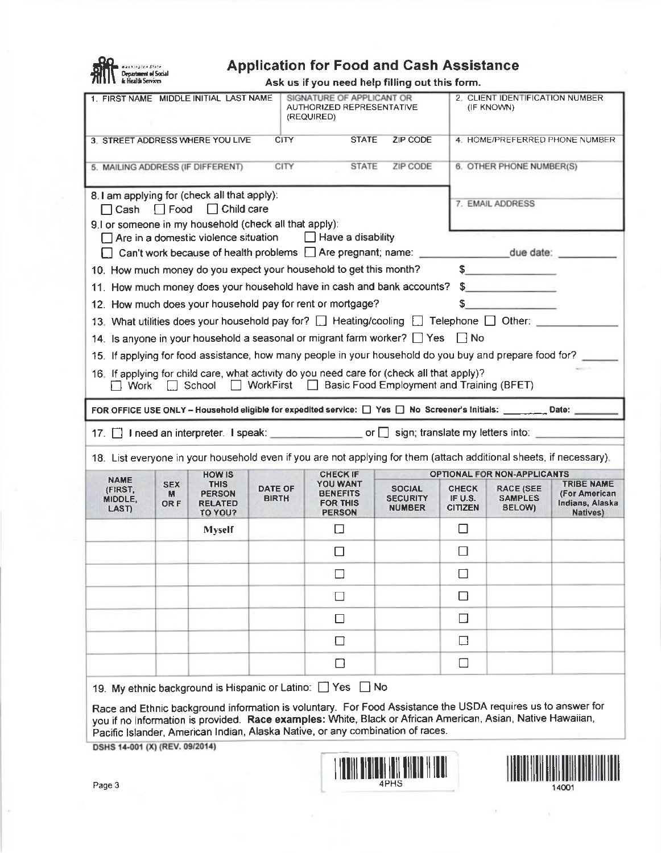

# $f_n = \begin{cases} 1 & n \text{ (b) 1} \\ \text{a) 2} & n \text{ (c) 3} \\ \text{b) 4} & n \text{ (d) 5} \end{cases}$

Ask us if you need help filling out this form.

|                                                                                                                                                                                                                                                                                                              | ASK US II YOU NEGU NGIP MINIY OUL LINS TONN.<br>1. FIRST NAME MIDDLE INITIAL LAST NAME<br>SIGNATURE OF APPLICANT OR<br>AUTHORIZED REPRESENTATIVE<br>(REQUIRED) |                                                           |                                |                                                                                                                                                                               |                                                   |                                           | 2. CLIENT IDENTIFICATION NUMBER<br>(IF KNOWN) |                                                                   |  |  |  |
|--------------------------------------------------------------------------------------------------------------------------------------------------------------------------------------------------------------------------------------------------------------------------------------------------------------|----------------------------------------------------------------------------------------------------------------------------------------------------------------|-----------------------------------------------------------|--------------------------------|-------------------------------------------------------------------------------------------------------------------------------------------------------------------------------|---------------------------------------------------|-------------------------------------------|-----------------------------------------------|-------------------------------------------------------------------|--|--|--|
|                                                                                                                                                                                                                                                                                                              | ZIP CODE<br><b>CITY</b><br><b>STATE</b><br>3. STREET ADDRESS WHERE YOU LIVE<br>4. HOME/PREFERRED PHONE NUMBER                                                  |                                                           |                                |                                                                                                                                                                               |                                                   |                                           |                                               |                                                                   |  |  |  |
| CITY<br><b>STATE</b><br>ZIP CODE<br>5. MAILING ADDRESS (IF DIFFERENT)                                                                                                                                                                                                                                        |                                                                                                                                                                |                                                           |                                |                                                                                                                                                                               |                                                   |                                           | 6. OTHER PHONE NUMBER(S)                      |                                                                   |  |  |  |
| 8.1 am applying for (check all that apply):<br>$\Box$ Cash $\Box$ Food $\Box$ Child care<br>9.1 or someone in my household (check all that apply):                                                                                                                                                           |                                                                                                                                                                |                                                           |                                |                                                                                                                                                                               |                                                   |                                           | 7. EMAIL ADDRESS                              |                                                                   |  |  |  |
|                                                                                                                                                                                                                                                                                                              |                                                                                                                                                                |                                                           |                                | $\Box$ Are in a domestic violence situation $\Box$ Have a disability                                                                                                          |                                                   |                                           |                                               |                                                                   |  |  |  |
| 10. How much money do you expect your household to get this month?                                                                                                                                                                                                                                           |                                                                                                                                                                |                                                           |                                |                                                                                                                                                                               |                                                   |                                           | $\frac{1}{2}$                                 |                                                                   |  |  |  |
|                                                                                                                                                                                                                                                                                                              |                                                                                                                                                                |                                                           |                                | 11. How much money does your household have in cash and bank accounts?                                                                                                        |                                                   |                                           | $\frac{1}{2}$                                 |                                                                   |  |  |  |
|                                                                                                                                                                                                                                                                                                              |                                                                                                                                                                |                                                           |                                | 12. How much does your household pay for rent or mortgage?                                                                                                                    |                                                   | $S_{-}$                                   |                                               |                                                                   |  |  |  |
|                                                                                                                                                                                                                                                                                                              |                                                                                                                                                                |                                                           |                                | 13. What utilities does your household pay for? [ ] Heating/cooling [ ] Telephone [ ] Other:                                                                                  |                                                   |                                           |                                               |                                                                   |  |  |  |
|                                                                                                                                                                                                                                                                                                              |                                                                                                                                                                |                                                           |                                | 14. Is anyone in your household a seasonal or migrant farm worker? $\Box$ Yes $\Box$ No                                                                                       |                                                   |                                           |                                               |                                                                   |  |  |  |
|                                                                                                                                                                                                                                                                                                              |                                                                                                                                                                |                                                           |                                | 15. If applying for food assistance, how many people in your household do you buy and prepare food for?                                                                       |                                                   |                                           |                                               |                                                                   |  |  |  |
| $\Box$ Work                                                                                                                                                                                                                                                                                                  |                                                                                                                                                                |                                                           |                                | 16. If applying for child care, what activity do you need care for (check all that apply)?<br>$\Box$ School $\Box$ WorkFirst $\Box$ Basic Food Employment and Training (BFET) |                                                   |                                           |                                               |                                                                   |  |  |  |
|                                                                                                                                                                                                                                                                                                              |                                                                                                                                                                |                                                           |                                | FOR OFFICE USE ONLY - Household eligible for expedited service: [ ] Yes [ ] No Screener's Initials: _________ Date: _________                                                 |                                                   |                                           |                                               |                                                                   |  |  |  |
| 17. in Ineed an interpreter. I speak: or gives or gives into: sign; translate my letters into:                                                                                                                                                                                                               |                                                                                                                                                                |                                                           |                                |                                                                                                                                                                               |                                                   |                                           |                                               |                                                                   |  |  |  |
|                                                                                                                                                                                                                                                                                                              |                                                                                                                                                                |                                                           |                                | 18. List everyone in your household even if you are not applying for them (attach additional sheets, if necessary),                                                           |                                                   |                                           |                                               |                                                                   |  |  |  |
|                                                                                                                                                                                                                                                                                                              |                                                                                                                                                                | <b>HOW IS</b>                                             |                                | <b>CHECK IF</b>                                                                                                                                                               |                                                   |                                           | OPTIONAL FOR NON-APPLICANTS                   |                                                                   |  |  |  |
| <b>NAME</b><br>(FIRST,<br>MIDDLE,<br>LAST)                                                                                                                                                                                                                                                                   | <b>SEX</b><br>м<br>OR F                                                                                                                                        | <b>THIS</b><br><b>PERSON</b><br><b>RELATED</b><br>TO YOU? | <b>DATE OF</b><br><b>BIRTH</b> | <b>YOU WANT</b><br><b>BENEFITS</b><br><b>FOR THIS</b><br><b>PERSON</b>                                                                                                        | <b>SOCIAL</b><br><b>SECURITY</b><br><b>NUMBER</b> | <b>CHECK</b><br>IF U.S.<br><b>CITIZEN</b> | <b>RACE (SEE</b><br><b>SAMPLES</b><br>BELOW)  | <b>TRIBE NAME</b><br>(For American<br>Indians, Alaska<br>Natives) |  |  |  |
|                                                                                                                                                                                                                                                                                                              |                                                                                                                                                                | <b>Myself</b>                                             |                                | П                                                                                                                                                                             |                                                   | □                                         |                                               |                                                                   |  |  |  |
|                                                                                                                                                                                                                                                                                                              |                                                                                                                                                                |                                                           |                                | □                                                                                                                                                                             |                                                   | $\Box$                                    |                                               |                                                                   |  |  |  |
|                                                                                                                                                                                                                                                                                                              |                                                                                                                                                                |                                                           |                                | $\Box$                                                                                                                                                                        |                                                   | $\Box$                                    |                                               |                                                                   |  |  |  |
|                                                                                                                                                                                                                                                                                                              |                                                                                                                                                                |                                                           |                                | $\Box$                                                                                                                                                                        |                                                   | ◻                                         |                                               |                                                                   |  |  |  |
|                                                                                                                                                                                                                                                                                                              |                                                                                                                                                                |                                                           |                                | $\Box$                                                                                                                                                                        |                                                   | $\Box$                                    |                                               |                                                                   |  |  |  |
|                                                                                                                                                                                                                                                                                                              |                                                                                                                                                                |                                                           |                                | □                                                                                                                                                                             |                                                   | □                                         |                                               |                                                                   |  |  |  |
|                                                                                                                                                                                                                                                                                                              |                                                                                                                                                                |                                                           |                                | $\Box$                                                                                                                                                                        |                                                   | □                                         |                                               |                                                                   |  |  |  |
|                                                                                                                                                                                                                                                                                                              |                                                                                                                                                                |                                                           |                                | 19. My ethnic background is Hispanic or Latino: Since Since Since                                                                                                             |                                                   |                                           |                                               |                                                                   |  |  |  |
| Race and Ethnic background information is voluntary. For Food Assistance the USDA requires us to answer for<br>you if no information is provided. Race examples: White, Black or African American, Asian, Native Hawaiian,<br>Pacific Islander, American Indian, Alaska Native, or any combination of races. |                                                                                                                                                                |                                                           |                                |                                                                                                                                                                               |                                                   |                                           |                                               |                                                                   |  |  |  |
| DSHS 14-001 (X) (REV. 09/2014)                                                                                                                                                                                                                                                                               |                                                                                                                                                                |                                                           |                                |                                                                                                                                                                               |                                                   |                                           |                                               |                                                                   |  |  |  |
|                                                                                                                                                                                                                                                                                                              |                                                                                                                                                                |                                                           |                                |                                                                                                                                                                               | <u> Liston and Liston and Liston and List</u>     |                                           |                                               |                                                                   |  |  |  |
|                                                                                                                                                                                                                                                                                                              | Page 3<br>14001                                                                                                                                                |                                                           |                                |                                                                                                                                                                               |                                                   |                                           |                                               |                                                                   |  |  |  |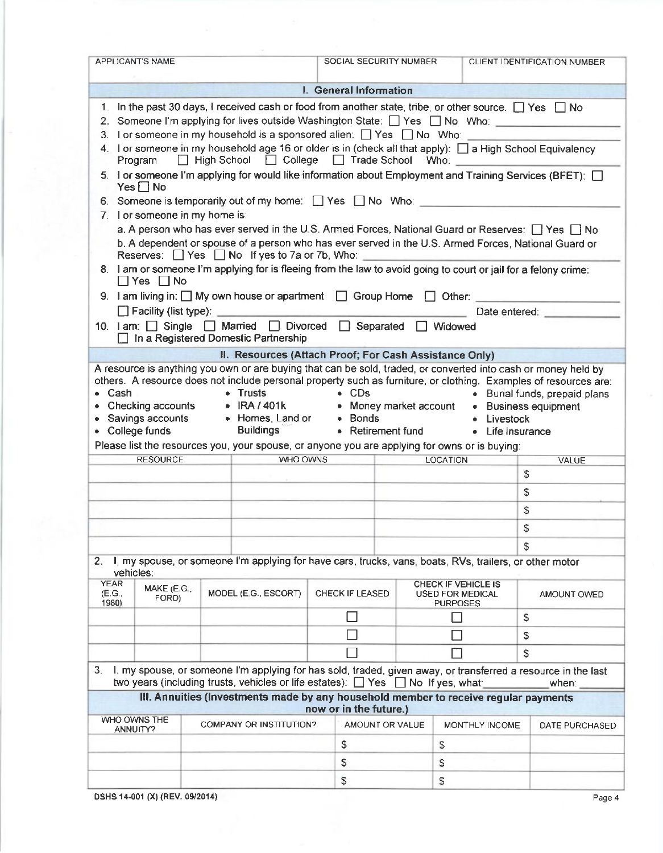|                                | APPLICANT'S NAME                                                                                                                                                                                                                                                                                                                                                                                                                                                                                                                                                                                                                                                                                                                                                                                                                                                                                               |  |                                |  | SOCIAL SECURITY NUMBER                                 |  |                                                                                          |                | CLIENT IDENTIFICATION NUMBER                                                                                                                                                                                                                                                                                                                                                                                                                                                                                                                                                         |  |  |  |  |
|--------------------------------|----------------------------------------------------------------------------------------------------------------------------------------------------------------------------------------------------------------------------------------------------------------------------------------------------------------------------------------------------------------------------------------------------------------------------------------------------------------------------------------------------------------------------------------------------------------------------------------------------------------------------------------------------------------------------------------------------------------------------------------------------------------------------------------------------------------------------------------------------------------------------------------------------------------|--|--------------------------------|--|--------------------------------------------------------|--|------------------------------------------------------------------------------------------|----------------|--------------------------------------------------------------------------------------------------------------------------------------------------------------------------------------------------------------------------------------------------------------------------------------------------------------------------------------------------------------------------------------------------------------------------------------------------------------------------------------------------------------------------------------------------------------------------------------|--|--|--|--|
| I. General Information         |                                                                                                                                                                                                                                                                                                                                                                                                                                                                                                                                                                                                                                                                                                                                                                                                                                                                                                                |  |                                |  |                                                        |  |                                                                                          |                |                                                                                                                                                                                                                                                                                                                                                                                                                                                                                                                                                                                      |  |  |  |  |
|                                | 1. In the past 30 days, I received cash or food from another state, tribe, or other source. $\Box$ Yes $\Box$ No<br>2. Someone I'm applying for lives outside Washington State: T Yes T No Who:<br>3. For someone in my household is a sponsored alien: $\Box$ Yes $\Box$ No Who:<br>Program<br>$Yes \Box No$<br>6. Someone is temporarily out of my home: $\Box$ Yes $\Box$ No Who: $\Box$<br>7. For someone in my home is:<br>Reserves: $\Box$ Yes $\Box$ No If yes to 7a or 7b, Who:<br>$\Box$ Yes $\Box$ No<br>9. I am living in: $\Box$ My own house or apartment $\Box$ Group Home $\Box$ Other:<br><b>Solution</b> Facility (list type): <u>Contract Contract Contract Contract Contract Contract Contract Contract Contract Contract Contract Contract Contract Contract Contract Contract Contract Contract Contract Contract Contract</u><br>10. I am: Single Married D Divorced Separated N Widowed |  |                                |  | □ High School □ College □ Trade School Who:            |  |                                                                                          |                | 4. I or someone in my household age 16 or older is in (check all that apply): $\Box$ a High School Equivalency<br>5. I or someone I'm applying for would like information about Employment and Training Services (BFET): [<br>a. A person who has ever served in the U.S. Armed Forces, National Guard or Reserves: $\Box$ Yes $\Box$ No<br>b. A dependent or spouse of a person who has ever served in the U.S. Armed Forces, National Guard or<br>8. I am or someone I'm applying for is fleeing from the law to avoid going to court or jail for a felony crime:<br>Date entered: |  |  |  |  |
| $\Box$                         | In a Registered Domestic Partnership                                                                                                                                                                                                                                                                                                                                                                                                                                                                                                                                                                                                                                                                                                                                                                                                                                                                           |  |                                |  |                                                        |  |                                                                                          |                |                                                                                                                                                                                                                                                                                                                                                                                                                                                                                                                                                                                      |  |  |  |  |
|                                |                                                                                                                                                                                                                                                                                                                                                                                                                                                                                                                                                                                                                                                                                                                                                                                                                                                                                                                |  |                                |  | II. Resources (Attach Proof; For Cash Assistance Only) |  |                                                                                          |                |                                                                                                                                                                                                                                                                                                                                                                                                                                                                                                                                                                                      |  |  |  |  |
|                                | Cash<br>• Trusts<br>$\bullet$ CDs<br>• Burial funds, prepaid plans<br>• IRA / 401k<br>Checking accounts<br>• Money market account • Business equipment<br>• Homes, Land or • Bonds<br>• Savings accounts<br>• Livestock<br><b>Buildings</b><br>• College funds<br>• Retirement fund<br>• Life insurance<br>Please list the resources you, your spouse, or anyone you are applying for owns or is buying:                                                                                                                                                                                                                                                                                                                                                                                                                                                                                                       |  |                                |  |                                                        |  |                                                                                          |                |                                                                                                                                                                                                                                                                                                                                                                                                                                                                                                                                                                                      |  |  |  |  |
|                                |                                                                                                                                                                                                                                                                                                                                                                                                                                                                                                                                                                                                                                                                                                                                                                                                                                                                                                                |  |                                |  |                                                        |  | <b>WHO OWNS</b><br><b>RESOURCE</b><br>LOCATION<br>VALUE<br>the control of the control of |                |                                                                                                                                                                                                                                                                                                                                                                                                                                                                                                                                                                                      |  |  |  |  |
|                                |                                                                                                                                                                                                                                                                                                                                                                                                                                                                                                                                                                                                                                                                                                                                                                                                                                                                                                                |  | S                              |  |                                                        |  |                                                                                          |                |                                                                                                                                                                                                                                                                                                                                                                                                                                                                                                                                                                                      |  |  |  |  |
|                                | S                                                                                                                                                                                                                                                                                                                                                                                                                                                                                                                                                                                                                                                                                                                                                                                                                                                                                                              |  |                                |  |                                                        |  |                                                                                          |                |                                                                                                                                                                                                                                                                                                                                                                                                                                                                                                                                                                                      |  |  |  |  |
|                                |                                                                                                                                                                                                                                                                                                                                                                                                                                                                                                                                                                                                                                                                                                                                                                                                                                                                                                                |  |                                |  |                                                        |  |                                                                                          |                |                                                                                                                                                                                                                                                                                                                                                                                                                                                                                                                                                                                      |  |  |  |  |
|                                |                                                                                                                                                                                                                                                                                                                                                                                                                                                                                                                                                                                                                                                                                                                                                                                                                                                                                                                |  |                                |  |                                                        |  |                                                                                          |                | S                                                                                                                                                                                                                                                                                                                                                                                                                                                                                                                                                                                    |  |  |  |  |
|                                |                                                                                                                                                                                                                                                                                                                                                                                                                                                                                                                                                                                                                                                                                                                                                                                                                                                                                                                |  |                                |  |                                                        |  |                                                                                          |                | S                                                                                                                                                                                                                                                                                                                                                                                                                                                                                                                                                                                    |  |  |  |  |
|                                |                                                                                                                                                                                                                                                                                                                                                                                                                                                                                                                                                                                                                                                                                                                                                                                                                                                                                                                |  |                                |  |                                                        |  |                                                                                          |                | \$                                                                                                                                                                                                                                                                                                                                                                                                                                                                                                                                                                                   |  |  |  |  |
| 2.                             | I, my spouse, or someone I'm applying for have cars, trucks, vans, boats, RVs, trailers, or other motor<br>vehicles:                                                                                                                                                                                                                                                                                                                                                                                                                                                                                                                                                                                                                                                                                                                                                                                           |  |                                |  |                                                        |  |                                                                                          |                |                                                                                                                                                                                                                                                                                                                                                                                                                                                                                                                                                                                      |  |  |  |  |
| <b>YEAR</b><br>(E.G.,<br>1980) | MAKE (E.G.,<br>FORD)                                                                                                                                                                                                                                                                                                                                                                                                                                                                                                                                                                                                                                                                                                                                                                                                                                                                                           |  | MODEL (E.G., ESCORT)           |  | CHECK IF LEASED                                        |  | CHECK IF VEHICLE IS<br><b>USED FOR MEDICAL</b><br><b>PURPOSES</b>                        |                | AMOUNT OWED                                                                                                                                                                                                                                                                                                                                                                                                                                                                                                                                                                          |  |  |  |  |
|                                |                                                                                                                                                                                                                                                                                                                                                                                                                                                                                                                                                                                                                                                                                                                                                                                                                                                                                                                |  |                                |  | $\Box$                                                 |  |                                                                                          |                | S                                                                                                                                                                                                                                                                                                                                                                                                                                                                                                                                                                                    |  |  |  |  |
|                                |                                                                                                                                                                                                                                                                                                                                                                                                                                                                                                                                                                                                                                                                                                                                                                                                                                                                                                                |  |                                |  |                                                        |  |                                                                                          |                | \$                                                                                                                                                                                                                                                                                                                                                                                                                                                                                                                                                                                   |  |  |  |  |
|                                |                                                                                                                                                                                                                                                                                                                                                                                                                                                                                                                                                                                                                                                                                                                                                                                                                                                                                                                |  |                                |  |                                                        |  |                                                                                          |                | S                                                                                                                                                                                                                                                                                                                                                                                                                                                                                                                                                                                    |  |  |  |  |
| 3.                             | two years (including trusts, vehicles or life estates): □ Yes □ No If yes, what:                                                                                                                                                                                                                                                                                                                                                                                                                                                                                                                                                                                                                                                                                                                                                                                                                               |  |                                |  |                                                        |  |                                                                                          |                | I, my spouse, or someone I'm applying for has sold, traded, given away, or transferred a resource in the last<br>when:                                                                                                                                                                                                                                                                                                                                                                                                                                                               |  |  |  |  |
|                                | III. Annuities (Investments made by any household member to receive regular payments                                                                                                                                                                                                                                                                                                                                                                                                                                                                                                                                                                                                                                                                                                                                                                                                                           |  |                                |  |                                                        |  |                                                                                          |                |                                                                                                                                                                                                                                                                                                                                                                                                                                                                                                                                                                                      |  |  |  |  |
|                                | WHO OWNS THE                                                                                                                                                                                                                                                                                                                                                                                                                                                                                                                                                                                                                                                                                                                                                                                                                                                                                                   |  | <b>COMPANY OR INSTITUTION?</b> |  | now or in the future.)<br>AMOUNT OR VALUE              |  |                                                                                          | MONTHLY INCOME | DATE PURCHASED                                                                                                                                                                                                                                                                                                                                                                                                                                                                                                                                                                       |  |  |  |  |
|                                | ANNUITY?                                                                                                                                                                                                                                                                                                                                                                                                                                                                                                                                                                                                                                                                                                                                                                                                                                                                                                       |  |                                |  |                                                        |  |                                                                                          |                |                                                                                                                                                                                                                                                                                                                                                                                                                                                                                                                                                                                      |  |  |  |  |
|                                |                                                                                                                                                                                                                                                                                                                                                                                                                                                                                                                                                                                                                                                                                                                                                                                                                                                                                                                |  |                                |  | \$<br>\$                                               |  | S<br>S                                                                                   |                |                                                                                                                                                                                                                                                                                                                                                                                                                                                                                                                                                                                      |  |  |  |  |

DSHS 14-001 (X) (REV. 09/2014) Page 4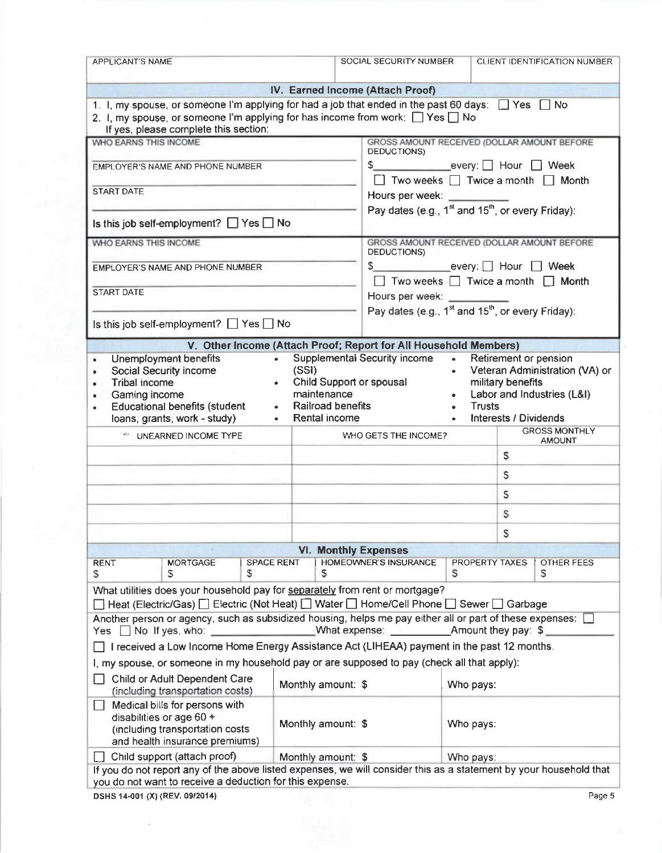| <b>APPLICANT'S NAME</b>                                                                                                                                                                                                                         |                                   | SOCIAL SECURITY NUMBER                                                                                                 |                                                                                                        |                                               | CLIENT IDENTIFICATION NUMBER                                               |                                                              |  |
|-------------------------------------------------------------------------------------------------------------------------------------------------------------------------------------------------------------------------------------------------|-----------------------------------|------------------------------------------------------------------------------------------------------------------------|--------------------------------------------------------------------------------------------------------|-----------------------------------------------|----------------------------------------------------------------------------|--------------------------------------------------------------|--|
|                                                                                                                                                                                                                                                 |                                   | IV. Earned Income (Attach Proof)                                                                                       |                                                                                                        |                                               |                                                                            |                                                              |  |
| 1. I, my spouse, or someone I'm applying for had a job that ended in the past 60 days: $\Box$ Yes $\Box$ No<br>2. I, my spouse, or someone I'm applying for has income from work: $\Box$ Yes $\Box$ No<br>If yes, please complete this section: |                                   |                                                                                                                        |                                                                                                        |                                               |                                                                            |                                                              |  |
| WHO EARNS THIS INCOME                                                                                                                                                                                                                           |                                   |                                                                                                                        |                                                                                                        |                                               |                                                                            | GROSS AMOUNT RECEIVED (DOLLAR AMOUNT BEFORE                  |  |
| EMPLOYER'S NAME AND PHONE NUMBER                                                                                                                                                                                                                |                                   |                                                                                                                        | DEDUCTIONS)<br>\$ every: Hour Neek<br>□ Two weeks □ Twice a month □ Month                              |                                               |                                                                            |                                                              |  |
| <b>START DATE</b>                                                                                                                                                                                                                               |                                   |                                                                                                                        | Hours per week: _________<br>Pay dates (e.g., 1 <sup>st</sup> and 15 <sup>th</sup> , or every Friday): |                                               |                                                                            |                                                              |  |
| Is this job self-employment? $\Box$ Yes $\Box$ No                                                                                                                                                                                               |                                   |                                                                                                                        |                                                                                                        |                                               |                                                                            |                                                              |  |
| WHO EARNS THIS INCOME                                                                                                                                                                                                                           |                                   |                                                                                                                        | DEDUCTIONS)                                                                                            |                                               |                                                                            | GROSS AMOUNT RECEIVED (DOLLAR AMOUNT BEFORE                  |  |
| <b>EMPLOYER'S NAME AND PHONE NUMBER</b>                                                                                                                                                                                                         |                                   |                                                                                                                        | \$ every: D Hour D Week                                                                                |                                               |                                                                            | $\Box$ Two weeks $\Box$ Twice a month $\Box$ Month           |  |
| <b>START DATE</b>                                                                                                                                                                                                                               |                                   |                                                                                                                        | Hours per week: ________                                                                               |                                               |                                                                            |                                                              |  |
| Is this job self-employment? $\Box$ Yes $\Box$ No                                                                                                                                                                                               |                                   |                                                                                                                        | Pay dates (e.g., 1 <sup>st</sup> and 15 <sup>th</sup> , or every Friday):                              |                                               |                                                                            |                                                              |  |
| V. Other Income (Attach Proof; Report for All Household Members)                                                                                                                                                                                |                                   |                                                                                                                        |                                                                                                        |                                               |                                                                            |                                                              |  |
| Unemployment benefits<br>$\bullet$<br>Social Security income<br>$\bullet$<br><b>Tribal income</b><br>۰<br>Gaming income<br><b>Educational benefits (student</b><br>loans, grants, work - study)                                                 | $\bullet$ .<br>(SSI)<br>$\bullet$ | <b>Supplemental Security income</b><br>Child Support or spousal<br>maintenance<br>• Railroad benefits<br>Rental income |                                                                                                        | $\bullet$<br>$\bullet$<br>Trusts<br>$\bullet$ | Retirement or pension<br>military benefits<br><b>Interests / Dividends</b> | Veteran Administration (VA) or<br>Labor and Industries (L&I) |  |
| * UNEARNED INCOME TYPE                                                                                                                                                                                                                          |                                   |                                                                                                                        | <b>GROSS MONTHLY</b><br>WHO GETS THE INCOME?                                                           |                                               |                                                                            | <b>AMOUNT</b>                                                |  |
|                                                                                                                                                                                                                                                 |                                   |                                                                                                                        |                                                                                                        |                                               | \$                                                                         |                                                              |  |
|                                                                                                                                                                                                                                                 |                                   |                                                                                                                        |                                                                                                        |                                               | \$                                                                         |                                                              |  |
|                                                                                                                                                                                                                                                 |                                   |                                                                                                                        |                                                                                                        |                                               | \$.                                                                        |                                                              |  |
|                                                                                                                                                                                                                                                 |                                   |                                                                                                                        |                                                                                                        |                                               | S                                                                          |                                                              |  |
|                                                                                                                                                                                                                                                 |                                   |                                                                                                                        | S                                                                                                      |                                               |                                                                            |                                                              |  |
|                                                                                                                                                                                                                                                 |                                   | <b>VI. Monthly Expenses</b>                                                                                            |                                                                                                        |                                               |                                                                            |                                                              |  |
| <b>RENT</b><br><b>MORTGAGE</b><br>S<br>S<br>S                                                                                                                                                                                                   | <b>SPACE RENT</b>                 | <b>HOMEOWNER'S INSURANCE</b><br>S                                                                                      |                                                                                                        | s                                             | PROPERTY TAXES                                                             | OTHER FEES<br>S                                              |  |
| What utilities does your household pay for separately from rent or mortgage?<br><b>Only 10 Heat (Electric/Gas)</b> D Electric (Not Heat) D Water D Home/Cell Phone D Sewer D Garbage                                                            |                                   |                                                                                                                        |                                                                                                        |                                               |                                                                            |                                                              |  |
| Another person or agency, such as subsidized housing, helps me pay either all or part of these expenses:<br>Yes $\Box$ No If yes, who:<br>and the company of the company of                                                                     |                                   |                                                                                                                        |                                                                                                        |                                               |                                                                            |                                                              |  |
| I received a Low Income Home Energy Assistance Act (LIHEAA) payment in the past 12 months.                                                                                                                                                      |                                   |                                                                                                                        |                                                                                                        |                                               |                                                                            |                                                              |  |
| I, my spouse, or someone in my household pay or are supposed to pay (check all that apply):                                                                                                                                                     |                                   |                                                                                                                        |                                                                                                        |                                               |                                                                            |                                                              |  |
| Child or Adult Dependent Care<br>(including transportation costs)                                                                                                                                                                               |                                   | Monthly amount: \$                                                                                                     |                                                                                                        | Who pays:                                     |                                                                            |                                                              |  |
| Medical bills for persons with<br>disabilities or age 60 +<br>Monthly amount: \$<br>(including transportation costs<br>and health insurance premiums)                                                                                           |                                   |                                                                                                                        |                                                                                                        | Who pays:                                     |                                                                            |                                                              |  |
| Child support (attach proof)<br>L.                                                                                                                                                                                                              |                                   | Monthly amount: \$                                                                                                     |                                                                                                        | Who pays:                                     |                                                                            |                                                              |  |
| If you do not report any of the above listed expenses, we will consider this as a statement by your household that<br>you do not want to receive a deduction for this expense.                                                                  |                                   |                                                                                                                        |                                                                                                        |                                               |                                                                            |                                                              |  |
| DSHS 14-001 (X) (REV. 09/2014)                                                                                                                                                                                                                  |                                   |                                                                                                                        |                                                                                                        |                                               |                                                                            | Page 5                                                       |  |

 $\sim$